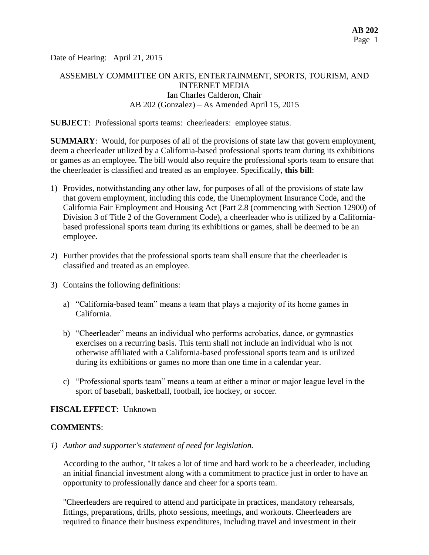Date of Hearing: April 21, 2015

# ASSEMBLY COMMITTEE ON ARTS, ENTERTAINMENT, SPORTS, TOURISM, AND INTERNET MEDIA Ian Charles Calderon, Chair AB 202 (Gonzalez) – As Amended April 15, 2015

#### **SUBJECT**: Professional sports teams: cheerleaders: employee status.

**SUMMARY**: Would, for purposes of all of the provisions of state law that govern employment, deem a cheerleader utilized by a California-based professional sports team during its exhibitions or games as an employee. The bill would also require the professional sports team to ensure that the cheerleader is classified and treated as an employee. Specifically, **this bill**:

- 1) Provides, notwithstanding any other law, for purposes of all of the provisions of state law that govern employment, including this code, the Unemployment Insurance Code, and the California Fair Employment and Housing Act (Part 2.8 (commencing with Section 12900) of Division 3 of Title 2 of the Government Code), a cheerleader who is utilized by a Californiabased professional sports team during its exhibitions or games, shall be deemed to be an employee.
- 2) Further provides that the professional sports team shall ensure that the cheerleader is classified and treated as an employee.
- 3) Contains the following definitions:
	- a) "California-based team" means a team that plays a majority of its home games in California.
	- b) "Cheerleader" means an individual who performs acrobatics, dance, or gymnastics exercises on a recurring basis. This term shall not include an individual who is not otherwise affiliated with a California-based professional sports team and is utilized during its exhibitions or games no more than one time in a calendar year.
	- c) "Professional sports team" means a team at either a minor or major league level in the sport of baseball, basketball, football, ice hockey, or soccer.

## **FISCAL EFFECT**: Unknown

#### **COMMENTS**:

*1) Author and supporter's statement of need for legislation.*

According to the author, "It takes a lot of time and hard work to be a cheerleader, including an initial financial investment along with a commitment to practice just in order to have an opportunity to professionally dance and cheer for a sports team.

"Cheerleaders are required to attend and participate in practices, mandatory rehearsals, fittings, preparations, drills, photo sessions, meetings, and workouts. Cheerleaders are required to finance their business expenditures, including travel and investment in their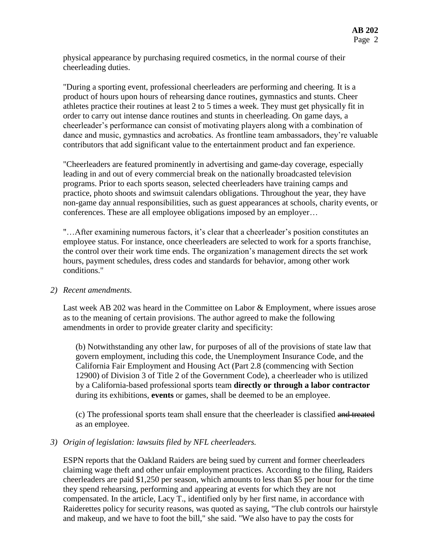physical appearance by purchasing required cosmetics, in the normal course of their cheerleading duties.

"During a sporting event, professional cheerleaders are performing and cheering. It is a product of hours upon hours of rehearsing dance routines, gymnastics and stunts. Cheer athletes practice their routines at least 2 to 5 times a week. They must get physically fit in order to carry out intense dance routines and stunts in cheerleading. On game days, a cheerleader's performance can consist of motivating players along with a combination of dance and music, gymnastics and acrobatics. As frontline team ambassadors, they're valuable contributors that add significant value to the entertainment product and fan experience.

"Cheerleaders are featured prominently in advertising and game-day coverage, especially leading in and out of every commercial break on the nationally broadcasted television programs. Prior to each sports season, selected cheerleaders have training camps and practice, photo shoots and swimsuit calendars obligations. Throughout the year, they have non-game day annual responsibilities, such as guest appearances at schools, charity events, or conferences. These are all employee obligations imposed by an employer…

"…After examining numerous factors, it's clear that a cheerleader's position constitutes an employee status. For instance, once cheerleaders are selected to work for a sports franchise, the control over their work time ends. The organization's management directs the set work hours, payment schedules, dress codes and standards for behavior, among other work conditions."

## *2) Recent amendments.*

Last week AB 202 was heard in the Committee on Labor & Employment, where issues arose as to the meaning of certain provisions. The author agreed to make the following amendments in order to provide greater clarity and specificity:

(b) Notwithstanding any other law, for purposes of all of the provisions of state law that govern employment, including this code, the Unemployment Insurance Code, and the California Fair Employment and Housing Act (Part 2.8 (commencing with Section 12900) of Division 3 of Title 2 of the Government Code), a cheerleader who is utilized by a California-based professional sports team **directly or through a labor contractor** during its exhibitions, **events** or games, shall be deemed to be an employee.

(c) The professional sports team shall ensure that the cheerleader is classified and treated as an employee.

## *3) Origin of legislation: lawsuits filed by NFL cheerleaders.*

ESPN reports that the Oakland Raiders are being sued by current and former cheerleaders claiming wage theft and other unfair employment practices. According to the filing, Raiders cheerleaders are paid \$1,250 per season, which amounts to less than \$5 per hour for the time they spend rehearsing, performing and appearing at events for which they are not compensated. In the article, Lacy T., identified only by her first name, in accordance with Raiderettes policy for security reasons, was quoted as saying, "The club controls our hairstyle and makeup, and we have to foot the bill," she said. "We also have to pay the costs for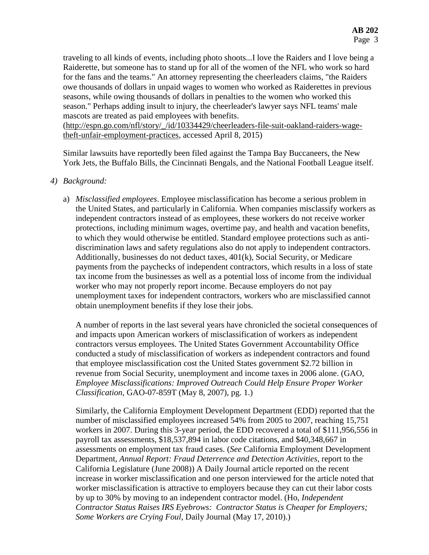traveling to all kinds of events, including photo shoots...I love the Raiders and I love being a Raiderette, but someone has to stand up for all of the women of the NFL who work so hard for the fans and the teams." An attorney representing the cheerleaders claims, "the Raiders owe thousands of dollars in unpaid wages to women who worked as Raiderettes in previous seasons, while owing thousands of dollars in penalties to the women who worked this season." Perhaps adding insult to injury, the cheerleader's lawyer says NFL teams' male mascots are treated as paid employees with benefits.

[\(http://espn.go.com/nfl/story/\\_/id/10334429/cheerleaders-file-suit-oakland-raiders-wage](http://espn.go.com/nfl/story/_/id/10334429/cheerleaders-file-suit-oakland-raiders-wage-theft-unfair-employment-practices)[theft-unfair-employment-practices,](http://espn.go.com/nfl/story/_/id/10334429/cheerleaders-file-suit-oakland-raiders-wage-theft-unfair-employment-practices) accessed April 8, 2015)

Similar lawsuits have reportedly been filed against the Tampa Bay Buccaneers, the New York Jets, the Buffalo Bills, the Cincinnati Bengals, and the National Football League itself.

#### *4) Background:*

a) *Misclassified employees*. Employee misclassification has become a serious problem in the United States, and particularly in California. When companies misclassify workers as independent contractors instead of as employees, these workers do not receive worker protections, including minimum wages, overtime pay, and health and vacation benefits, to which they would otherwise be entitled. Standard employee protections such as antidiscrimination laws and safety regulations also do not apply to independent contractors. Additionally, businesses do not deduct taxes, 401(k), Social Security, or Medicare payments from the paychecks of independent contractors, which results in a loss of state tax income from the businesses as well as a potential loss of income from the individual worker who may not properly report income. Because employers do not pay unemployment taxes for independent contractors, workers who are misclassified cannot obtain unemployment benefits if they lose their jobs.

A number of reports in the last several years have chronicled the societal consequences of and impacts upon American workers of misclassification of workers as independent contractors versus employees. The United States Government Accountability Office conducted a study of misclassification of workers as independent contractors and found that employee misclassification cost the United States government \$2.72 billion in revenue from Social Security, unemployment and income taxes in 2006 alone. (GAO, *Employee Misclassifications: Improved Outreach Could Help Ensure Proper Worker Classification*, GAO-07-859T (May 8, 2007), pg. 1.)

Similarly, the California Employment Development Department (EDD) reported that the number of misclassified employees increased 54% from 2005 to 2007, reaching 15,751 workers in 2007. During this 3-year period, the EDD recovered a total of \$111,956,556 in payroll tax assessments, \$18,537,894 in labor code citations, and \$40,348,667 in assessments on employment tax fraud cases. (*See* California Employment Development Department, *Annual Report: Fraud Deterrence and Detection Activities*, report to the California Legislature (June 2008)) A Daily Journal article reported on the recent increase in worker misclassification and one person interviewed for the article noted that worker misclassification is attractive to employers because they can cut their labor costs by up to 30% by moving to an independent contractor model. (Ho, *Independent Contractor Status Raises IRS Eyebrows: Contractor Status is Cheaper for Employers; Some Workers are Crying Foul*, Daily Journal (May 17, 2010).)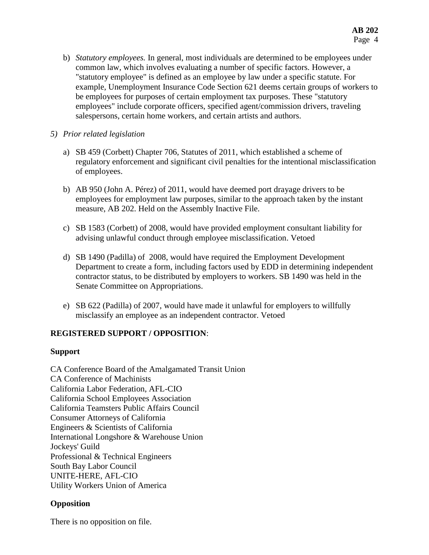b) *Statutory employees.* In general, most individuals are determined to be employees under common law, which involves evaluating a number of specific factors. However, a "statutory employee" is defined as an employee by law under a specific statute. For example, Unemployment Insurance Code Section 621 deems certain groups of workers to be employees for purposes of certain employment tax purposes. These "statutory employees" include corporate officers, specified agent/commission drivers, traveling salespersons, certain home workers, and certain artists and authors.

## *5) Prior related legislation*

- a) SB 459 (Corbett) Chapter 706, Statutes of 2011, which established a scheme of regulatory enforcement and significant civil penalties for the intentional misclassification of employees.
- b) AB 950 (John A. Pérez) of 2011, would have deemed port drayage drivers to be employees for employment law purposes, similar to the approach taken by the instant measure, AB 202. Held on the Assembly Inactive File.
- c) SB 1583 (Corbett) of 2008, would have provided employment consultant liability for advising unlawful conduct through employee misclassification. Vetoed
- d) SB 1490 (Padilla) of 2008, would have required the Employment Development Department to create a form, including factors used by EDD in determining independent contractor status, to be distributed by employers to workers. SB 1490 was held in the Senate Committee on Appropriations.
- e) SB 622 (Padilla) of 2007, would have made it unlawful for employers to willfully misclassify an employee as an independent contractor. Vetoed

# **REGISTERED SUPPORT / OPPOSITION**:

## **Support**

CA Conference Board of the Amalgamated Transit Union CA Conference of Machinists California Labor Federation, AFL-CIO California School Employees Association California Teamsters Public Affairs Council Consumer Attorneys of California Engineers & Scientists of California International Longshore & Warehouse Union Jockeys' Guild Professional & Technical Engineers South Bay Labor Council UNITE-HERE, AFL-CIO Utility Workers Union of America

# **Opposition**

There is no opposition on file.